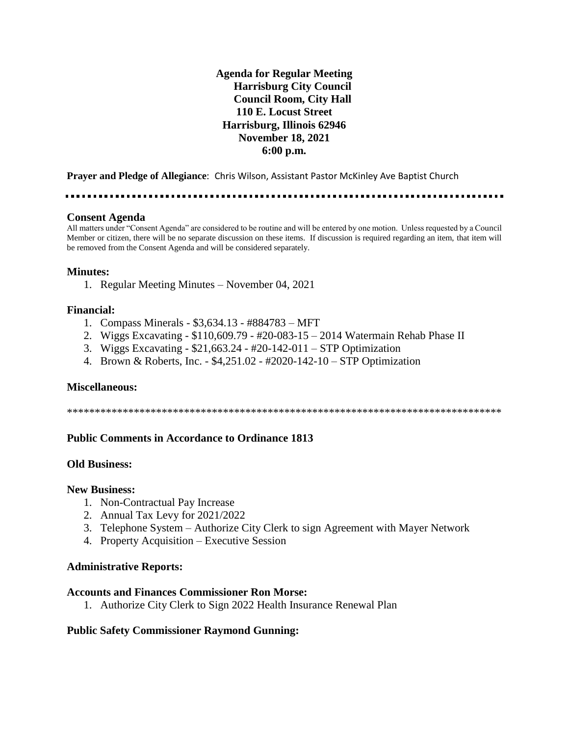## **Agenda for Regular Meeting Harrisburg City Council Council Room, City Hall 110 E. Locust Street Harrisburg, Illinois 62946 November 18, 2021 6:00 p.m.**

**Prayer and Pledge of Allegiance**: Chris Wilson, Assistant Pastor McKinley Ave Baptist Church

#### **Consent Agenda**

All matters under "Consent Agenda" are considered to be routine and will be entered by one motion. Unless requested by a Council Member or citizen, there will be no separate discussion on these items. If discussion is required regarding an item, that item will be removed from the Consent Agenda and will be considered separately.

#### **Minutes:**

1. Regular Meeting Minutes – November 04, 2021

### **Financial:**

- 1. Compass Minerals \$3,634.13 #884783 MFT
- 2. Wiggs Excavating \$110,609.79 #20-083-15 2014 Watermain Rehab Phase II
- 3. Wiggs Excavating \$21,663.24 #20-142-011 STP Optimization
- 4. Brown & Roberts, Inc. \$4,251.02 #2020-142-10 STP Optimization

#### **Miscellaneous:**

\*\*\*\*\*\*\*\*\*\*\*\*\*\*\*\*\*\*\*\*\*\*\*\*\*\*\*\*\*\*\*\*\*\*\*\*\*\*\*\*\*\*\*\*\*\*\*\*\*\*\*\*\*\*\*\*\*\*\*\*\*\*\*\*\*\*\*\*\*\*\*\*\*\*\*\*\*\*

## **Public Comments in Accordance to Ordinance 1813**

#### **Old Business:**

#### **New Business:**

- 1. Non-Contractual Pay Increase
- 2. Annual Tax Levy for 2021/2022
- 3. Telephone System Authorize City Clerk to sign Agreement with Mayer Network
- 4. Property Acquisition Executive Session

#### **Administrative Reports:**

#### **Accounts and Finances Commissioner Ron Morse:**

1. Authorize City Clerk to Sign 2022 Health Insurance Renewal Plan

## **Public Safety Commissioner Raymond Gunning:**